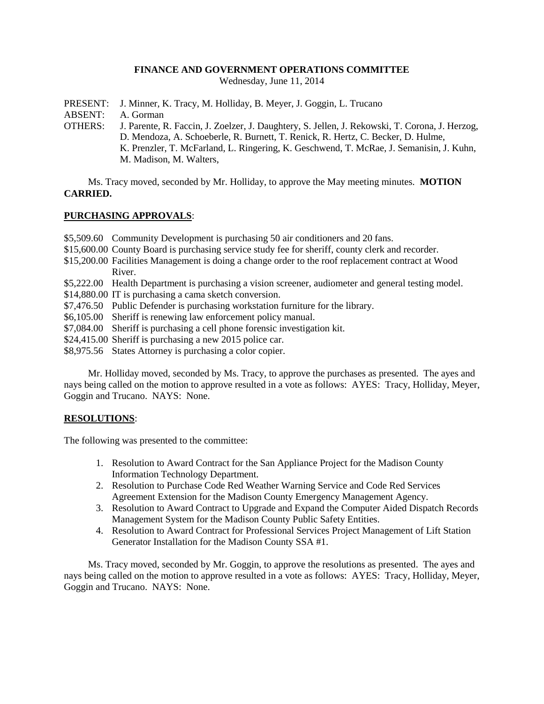### **FINANCE AND GOVERNMENT OPERATIONS COMMITTEE**

Wednesday, June 11, 2014

- PRESENT: J. Minner, K. Tracy, M. Holliday, B. Meyer, J. Goggin, L. Trucano
- ABSENT: A. Gorman
- OTHERS: J. Parente, R. Faccin, J. Zoelzer, J. Daughtery, S. Jellen, J. Rekowski, T. Corona, J. Herzog, D. Mendoza, A. Schoeberle, R. Burnett, T. Renick, R. Hertz, C. Becker, D. Hulme, K. Prenzler, T. McFarland, L. Ringering, K. Geschwend, T. McRae, J. Semanisin, J. Kuhn, M. Madison, M. Walters,

Ms. Tracy moved, seconded by Mr. Holliday, to approve the May meeting minutes. **MOTION CARRIED.**

### **PURCHASING APPROVALS**:

- \$5,509.60 Community Development is purchasing 50 air conditioners and 20 fans.
- \$15,600.00 County Board is purchasing service study fee for sheriff, county clerk and recorder.
- \$15,200.00 Facilities Management is doing a change order to the roof replacement contract at Wood River.
- \$5,222.00 Health Department is purchasing a vision screener, audiometer and general testing model.
- \$14,880.00 IT is purchasing a cama sketch conversion.
- \$7,476.50 Public Defender is purchasing workstation furniture for the library.
- \$6,105.00 Sheriff is renewing law enforcement policy manual.
- \$7,084.00 Sheriff is purchasing a cell phone forensic investigation kit.
- \$24,415.00 Sheriff is purchasing a new 2015 police car.
- \$8,975.56 States Attorney is purchasing a color copier.

Mr. Holliday moved, seconded by Ms. Tracy, to approve the purchases as presented. The ayes and nays being called on the motion to approve resulted in a vote as follows: AYES: Tracy, Holliday, Meyer, Goggin and Trucano. NAYS: None.

# **RESOLUTIONS**:

The following was presented to the committee:

- 1. Resolution to Award Contract for the San Appliance Project for the Madison County Information Technology Department.
- 2. Resolution to Purchase Code Red Weather Warning Service and Code Red Services Agreement Extension for the Madison County Emergency Management Agency.
- 3. Resolution to Award Contract to Upgrade and Expand the Computer Aided Dispatch Records Management System for the Madison County Public Safety Entities.
- 4. Resolution to Award Contract for Professional Services Project Management of Lift Station Generator Installation for the Madison County SSA #1.

Ms. Tracy moved, seconded by Mr. Goggin, to approve the resolutions as presented. The ayes and nays being called on the motion to approve resulted in a vote as follows: AYES: Tracy, Holliday, Meyer, Goggin and Trucano. NAYS: None.